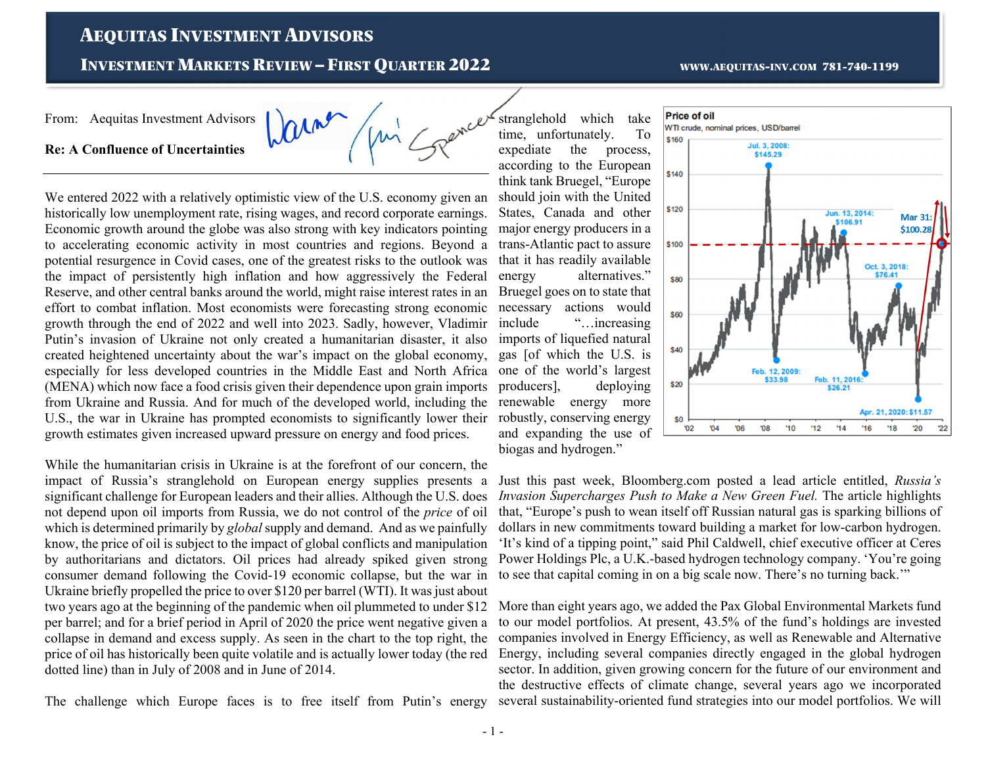## AEQUITAS INVESTMENT ADVISORS

**INVESTMENT MARKETS REVIEW - FIRST OUARTER 2022** 

### From: Aequitas Investment Advisors

**Re: A Confluence of Uncertainties**

aine

We entered 2022 with a relatively optimistic view of the U.S. economy given an historically low unemployment rate, rising wages, and record corporate earnings. Economic growth around the globe was also strong with key indicators pointing to accelerating economic activity in most countries and regions. Beyond a potential resurgence in Covid cases, one of the greatest risks to the outlook was the impact of persistently high inflation and how aggressively the Federal Reserve, and other central banks around the world, might raise interest rates in an effort to combat inflation. Most economists were forecasting strong economic growth through the end of 2022 and well into 2023. Sadly, however, Vladimir Putin's invasion of Ukraine not only created a humanitarian disaster, it also created heightened uncertainty about the war's impact on the global economy, especially for less developed countries in the Middle East and North Africa (MENA) which now face a food crisis given their dependence upon grain imports from Ukraine and Russia. And for much of the developed world, including the U.S., the war in Ukraine has prompted economists to significantly lower their growth estimates given increased upward pressure on energy and food prices.

While the humanitarian crisis in Ukraine is at the forefront of our concern, the impact of Russia's stranglehold on European energy supplies presents a significant challenge for European leaders and their allies. Although the U.S. does not depend upon oil imports from Russia, we do not control of the *price* of oil which is determined primarily by *global* supply and demand. And as we painfully know, the price of oil is subject to the impact of global conflicts and manipulation by authoritarians and dictators. Oil prices had already spiked given strong consumer demand following the Covid-19 economic collapse, but the war in Ukraine briefly propelled the price to over \$120 per barrel (WTI). It was just about two years ago at the beginning of the pandemic when oil plummeted to under \$12 per barrel; and for a brief period in April of 2020 the price went negative given a collapse in demand and excess supply. As seen in the chart to the top right, the price of oil has historically been quite volatile and is actually lower today (the red dotted line) than in July of 2008 and in June of 2014.

The challenge which Europe faces is to free itself from Putin's energy

stranglehold which take time, unfortunately. To expediate the process, according to the European think tank Bruegel, "Europe should join with the United States, Canada and other major energy producers in a trans-Atlantic pact to assure that it has readily available energy alternatives." Bruegel goes on to state that necessary actions would include "…increasing imports of liquefied natural gas [of which the U.S. is one of the world's largest producers], deploying renewable energy more robustly, conserving energy and expanding the use of biogas and hydrogen."

### **Price of oil** WTI crude, nominal prices, USD/barrel **\$160** Jul. 3, 2008 \$145.29 \$140 \$120 Jun. 13, 2014 \$100.2 \$100 Oct. 3, 2018: \$80 \$60 **\$40**

Feb. 12, 2009: \$33.98

08'

 $10$ 

 $112$ 

Feb. 11, 20

\$26.21

Apr. 21, 2020: \$11.57

 $20$ 

Just this past week, Bloomberg.com posted a lead article entitled, *Russia's Invasion Supercharges Push to Make a New Green Fuel.* The article highlights that, "Europe's push to wean itself off Russian natural gas is sparking billions of dollars in new commitments toward building a market for low-carbon hydrogen. 'It's kind of a tipping point," said Phil Caldwell, chief executive officer at Ceres Power Holdings Plc, a U.K.-based hydrogen technology company. 'You're going to see that capital coming in on a big scale now. There's no turning back.'"

06

\$20

 $02$ 

More than eight years ago, we added the Pax Global Environmental Markets fund to our model portfolios. At present, 43.5% of the fund's holdings are invested companies involved in Energy Efficiency, as well as Renewable and Alternative Energy, including several companies directly engaged in the global hydrogen sector. In addition, given growing concern for the future of our environment and the destructive effects of climate change, several years ago we incorporated several sustainability-oriented fund strategies into our model portfolios. We will

#### WWW.AEQUITAS-INV.COM 781-740-1199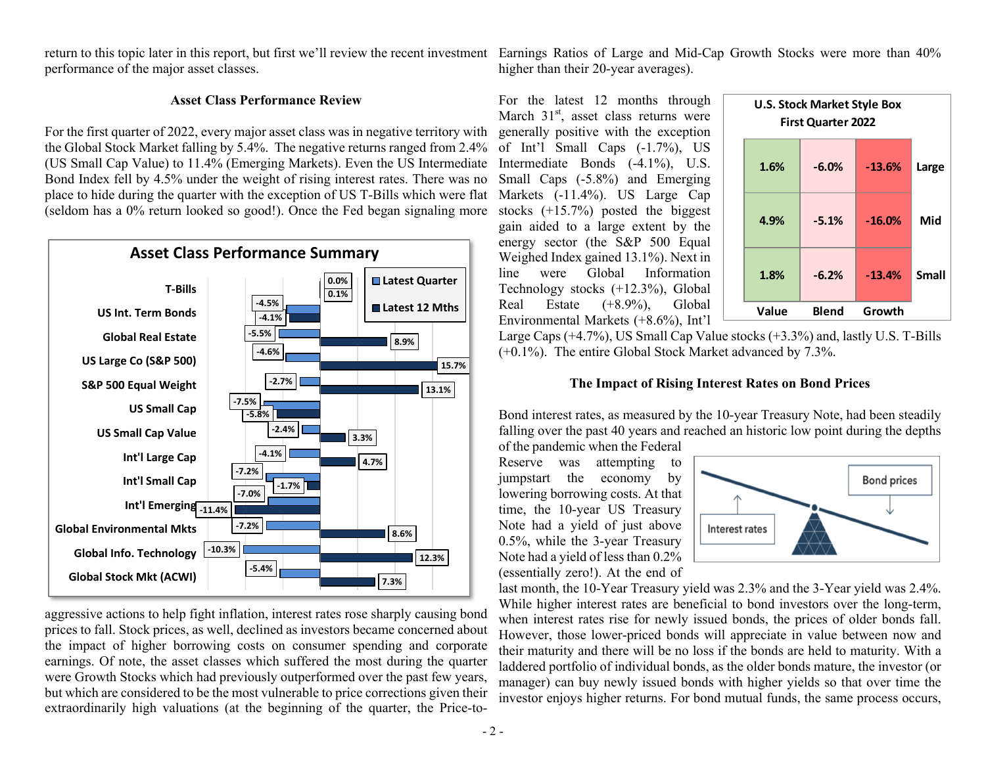performance of the major asset classes.

return to this topic later in this report, but first we'll review the recent investment Earnings Ratios of Large and Mid-Cap Growth Stocks were more than 40%

#### **Asset Class Performance Review**

For the first quarter of 2022, every major asset class was in negative territory with the Global Stock Market falling by 5.4%. The negative returns ranged from 2.4% (US Small Cap Value) to 11.4% (Emerging Markets). Even the US Intermediate Bond Index fell by 4.5% under the weight of rising interest rates. There was no place to hide during the quarter with the exception of US T-Bills which were flat (seldom has a 0% return looked so good!). Once the Fed began signaling more



aggressive actions to help fight inflation, interest rates rose sharply causing bond prices to fall. Stock prices, as well, declined as investors became concerned about the impact of higher borrowing costs on consumer spending and corporate earnings. Of note, the asset classes which suffered the most during the quarter were Growth Stocks which had previously outperformed over the past few years, but which are considered to be the most vulnerable to price corrections given their extraordinarily high valuations (at the beginning of the quarter, the Price-to-



#### **The Impact of Rising Interest Rates on Bond Prices**

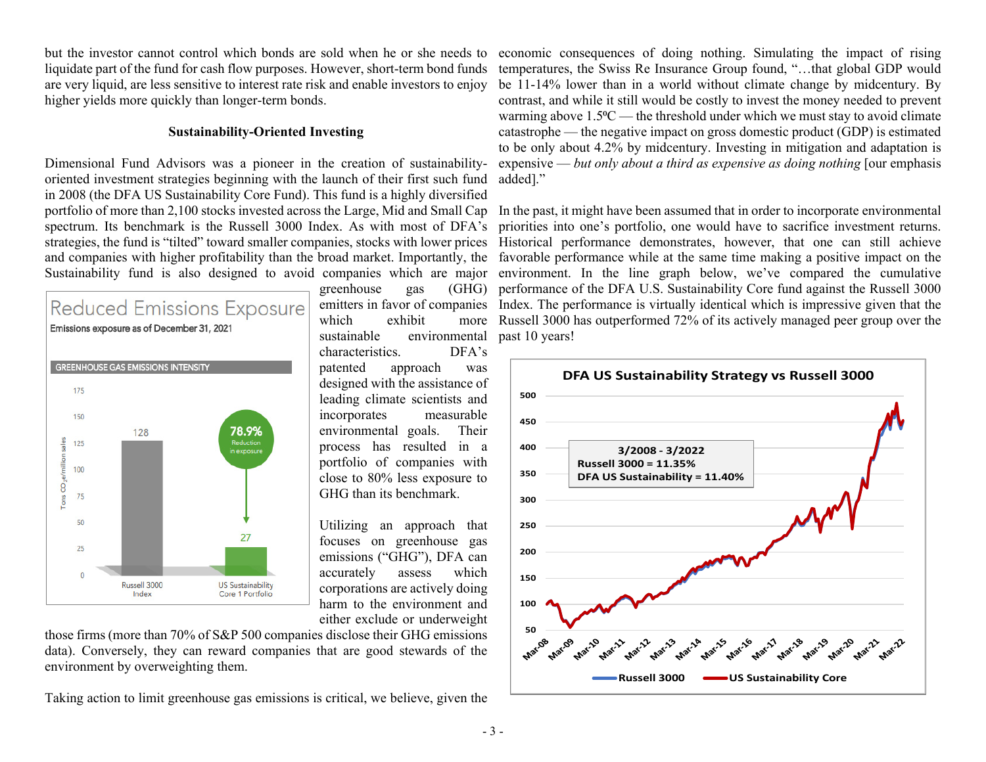liquidate part of the fund for cash flow purposes. However, short-term bond funds are very liquid, are less sensitive to interest rate risk and enable investors to enjoy higher yields more quickly than longer-term bonds.

#### **Sustainability-Oriented Investing**

Dimensional Fund Advisors was a pioneer in the creation of sustainabilityoriented investment strategies beginning with the launch of their first such fund in 2008 (the DFA US Sustainability Core Fund). This fund is a highly diversified spectrum. Its benchmark is the Russell 3000 Index. As with most of DFA's



greenhouse gas which exhibit more sustainable environmental characteristics. DFA's patented approach was designed with the assistance of leading climate scientists and incorporates measurable environmental goals. Their process has resulted in a portfolio of companies with close to 80% less exposure to GHG than its benchmark.

Utilizing an approach that focuses on greenhouse gas emissions ("GHG"), DFA can accurately assess which corporations are actively doing harm to the environment and either exclude or underweight

those firms (more than 70% of S&P 500 companies disclose their GHG emissions data). Conversely, they can reward companies that are good stewards of the environment by overweighting them.

Taking action to limit greenhouse gas emissions is critical, we believe, given the

but the investor cannot control which bonds are sold when he or she needs to economic consequences of doing nothing. Simulating the impact of rising temperatures, the Swiss Re Insurance Group found, "…that global GDP would be 11-14% lower than in a world without climate change by midcentury. By contrast, and while it still would be costly to invest the money needed to prevent warming above  $1.5\textdegree$ C — the threshold under which we must stay to avoid climate catastrophe — the negative impact on gross domestic product (GDP) is estimated to be only about 4.2% by midcentury. Investing in mitigation and adaptation is expensive — *but only about a third as expensive as doing nothing* [our emphasis added]."

portfolio of more than 2,100 stocks invested across the Large, Mid and Small Cap In the past, it might have been assumed that in order to incorporate environmental strategies, the fund is "tilted" toward smaller companies, stocks with lower prices Historical performance demonstrates, however, that one can still achieve and companies with higher profitability than the broad market. Importantly, the favorable performance while at the same time making a positive impact on the Sustainability fund is also designed to avoid companies which are major environment. In the line graph below, we've compared the cumulative emitters in favor of companies Index. The performance is virtually identical which is impressive given that the priorities into one's portfolio, one would have to sacrifice investment returns. performance of the DFA U.S. Sustainability Core fund against the Russell 3000 Russell 3000 has outperformed 72% of its actively managed peer group over the past 10 years!

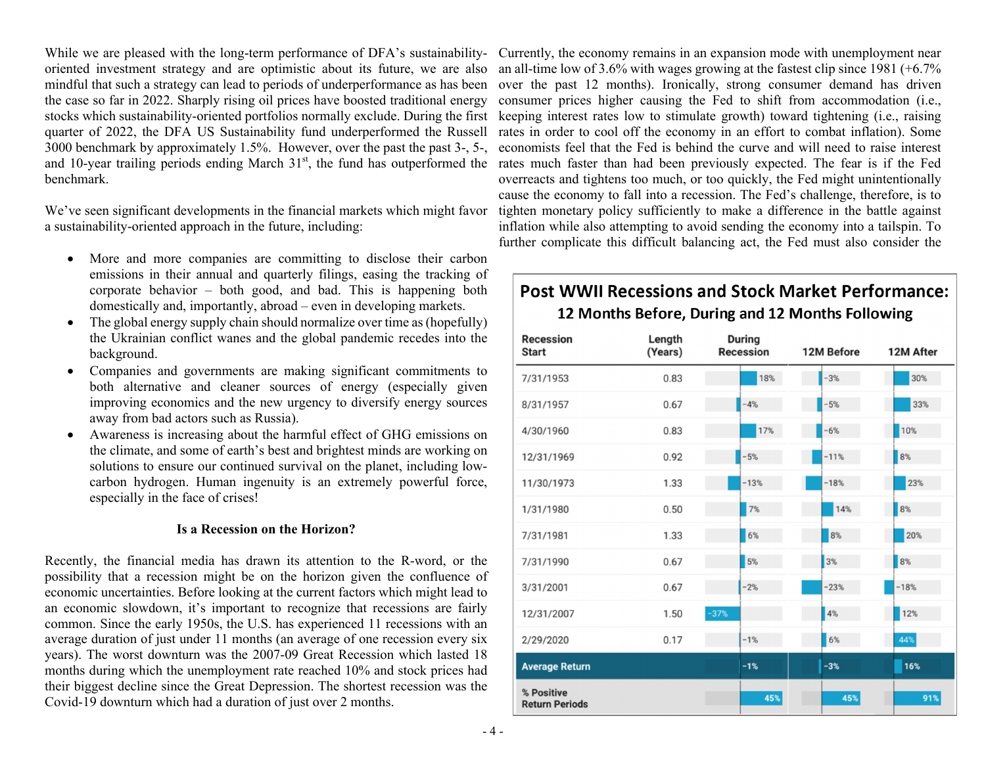the case so far in 2022. Sharply rising oil prices have boosted traditional energy quarter of 2022, the DFA US Sustainability fund underperformed the Russell 3000 benchmark by approximately 1.5%. However, over the past the past 3-, 5-, benchmark.

We've seen significant developments in the financial markets which might favor a sustainability-oriented approach in the future, including:

- More and more companies are committing to disclose their carbon emissions in their annual and quarterly filings, easing the tracking of corporate behavior – both good, and bad. This is happening both domestically and, importantly, abroad – even in developing markets.
- . The global energy supply chain should normalize over time as (hopefully) the Ukrainian conflict wanes and the global pandemic recedes into the background.
- $\bullet$  Companies and governments are making significant commitments to both alternative and cleaner sources of energy (especially given improving economics and the new urgency to diversify energy sources away from bad actors such as Russia).
- . Awareness is increasing about the harmful effect of GHG emissions on the climate, and some of earth's best and brightest minds are working on solutions to ensure our continued survival on the planet, including lowcarbon hydrogen. Human ingenuity is an extremely powerful force, especially in the face of crises!

#### **Is a Recession on the Horizon?**

Recently, the financial media has drawn its attention to the R-word, or the possibility that a recession might be on the horizon given the confluence of economic uncertainties. Before looking at the current factors which might lead to an economic slowdown, it's important to recognize that recessions are fairly common. Since the early 1950s, the U.S. has experienced 11 recessions with an average duration of just under 11 months (an average of one recession every six years). The worst downturn was the 2007-09 Great Recession which lasted 18 months during which the unemployment rate reached 10% and stock prices had their biggest decline since the Great Depression. The shortest recession was the Covid-19 downturn which had a duration of just over 2 months.

While we are pleased with the long-term performance of DFA's sustainability- Currently, the economy remains in an expansion mode with unemployment near oriented investment strategy and are optimistic about its future, we are also an all-time low of 3.6% with wages growing at the fastest clip since 1981 (+6.7%) mindful that such a strategy can lead to periods of underperformance as has been over the past 12 months). Ironically, strong consumer demand has driven stocks which sustainability-oriented portfolios normally exclude. During the first keeping interest rates low to stimulate growth) toward tightening (i.e., raising and 10-year trailing periods ending March 31<sup>st</sup>, the fund has outperformed the rates much faster than had been previously expected. The fear is if the Fed consumer prices higher causing the Fed to shift from accommodation (i.e., rates in order to cool off the economy in an effort to combat inflation). Some economists feel that the Fed is behind the curve and will need to raise interest overreacts and tightens too much, or too quickly, the Fed might unintentionally cause the economy to fall into a recession. The Fed's challenge, therefore, is to tighten monetary policy sufficiently to make a difference in the battle against inflation while also attempting to avoid sending the economy into a tailspin. To further complicate this difficult balancing act, the Fed must also consider the

# **Post WWII Recessions and Stock Market Performance:** 12 Months Before, During and 12 Months Following

| <b>Recession</b><br><b>Start</b>    | Length<br>(Years) | <b>During</b><br>Recession | 12M Before | 12M After |
|-------------------------------------|-------------------|----------------------------|------------|-----------|
| 7/31/1953                           | 0.83              | 18%                        | $-3%$      | 30%       |
| 8/31/1957                           | 0.67              | $-4%$                      | $-5%$      | 33%       |
| 4/30/1960                           | 0.83              | 17%                        | $-6%$      | 10%       |
| 12/31/1969                          | 0.92              | $-5%$                      | $-11%$     | $8\%$     |
| 11/30/1973                          | 1.33              | $-13%$                     | $-18%$     | 23%       |
| 1/31/1980                           | 0.50              | $7\%$                      | 14%        | $8\%$     |
| 7/31/1981                           | 1.33              | 6%                         | $8\%$      | 20%       |
| 7/31/1990                           | 0.67              | 5%                         | 3%         | $8\%$     |
| 3/31/2001                           | 0.67              | $-2%$                      | $-23%$     | $-18%$    |
| 12/31/2007                          | 1.50              | $-37%$                     | 4%         | 12%       |
| 2/29/2020                           | 0.17              | $-1%$                      | $6\%$      | 44%       |
| <b>Average Return</b>               |                   | $-1%$                      | $-3%$      | 16%       |
| % Positive<br><b>Return Periods</b> |                   | 45%                        | 45%        | 91%       |